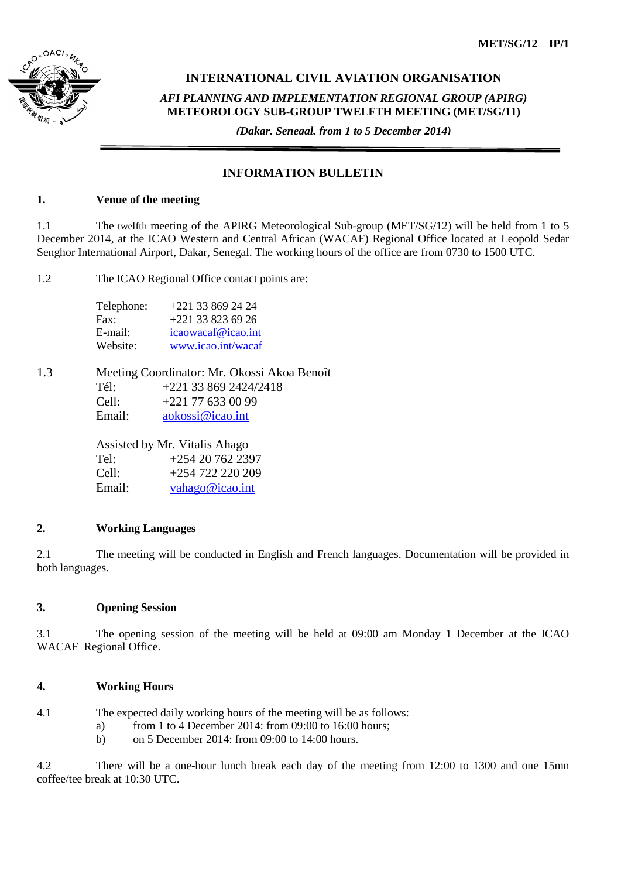

# **INTERNATIONAL CIVIL AVIATION ORGANISATION**

*AFI PLANNING AND IMPLEMENTATION REGIONAL GROUP (APIRG)* **METEOROLOGY SUB-GROUP TWELFTH MEETING (MET/SG/11)**

*(Dakar, Senegal, from 1 to 5 December 2014)*

# **INFORMATION BULLETIN**

# **1. Venue of the meeting**

1.1 The twelfth meeting of the APIRG Meteorological Sub-group (MET/SG/12) will be held from 1 to 5 December 2014, at the ICAO Western and Central African (WACAF) Regional Office located at Leopold Sedar Senghor International Airport, Dakar, Senegal. The working hours of the office are from 0730 to 1500 UTC.

1.2 The ICAO Regional Office contact points are:

| Telephone: | $+221$ 33 869 24 24 |
|------------|---------------------|
| Fax:       | $+221$ 33 823 69 26 |
| E-mail:    | icaowacaf@icao.int  |
| Website:   | www.icao.int/wacaf  |

1.3 Meeting Coordinator: Mr. Okossi Akoa Benoît Tél: +221 33 869 2424/2418 Cell: +221 77 633 00 99 Email: [aokossi@icao.int](mailto:aokossi@dakar.icao.int)

> Assisted by Mr. Vitalis Ahago Tel: +254 20 762 2397 Cell: +254 722 220 209 Email: [vahago@icao.int](mailto:vahago@icao.int)

# **2. Working Languages**

2.1 The meeting will be conducted in English and French languages. Documentation will be provided in both languages.

# **3. Opening Session**

3.1 The opening session of the meeting will be held at 09:00 am Monday 1 December at the ICAO WACAF Regional Office.

# **4. Working Hours**

4.1 The expected daily working hours of the meeting will be as follows:

- a) from 1 to 4 December 2014: from  $09:00$  to 16:00 hours:
- b) on 5 December 2014: from 09:00 to 14:00 hours.

4.2 There will be a one-hour lunch break each day of the meeting from 12:00 to 1300 and one 15mn coffee/tee break at 10:30 UTC.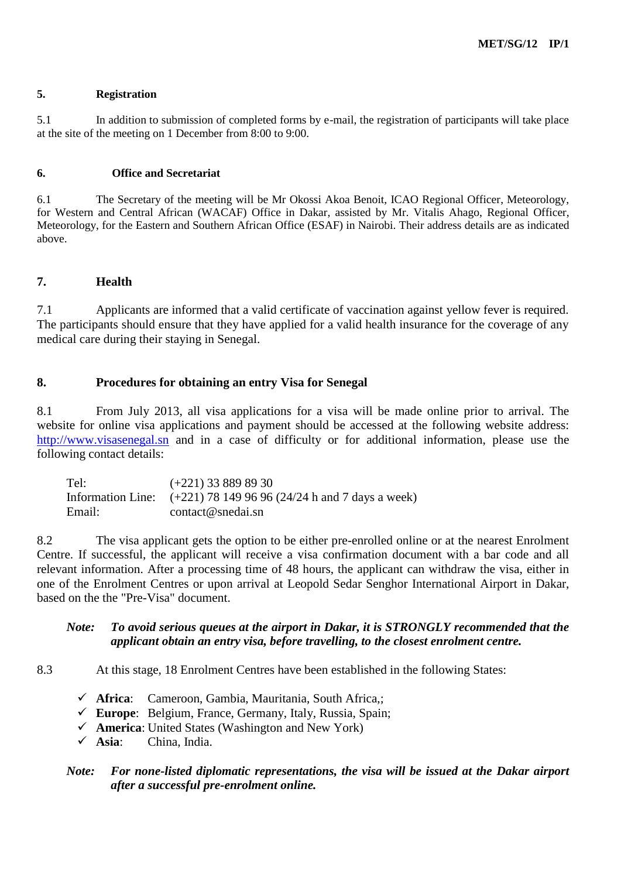### **5. Registration**

5.1 In addition to submission of completed forms by e-mail, the registration of participants will take place at the site of the meeting on 1 December from 8:00 to 9:00.

### **6. Office and Secretariat**

6.1 The Secretary of the meeting will be Mr Okossi Akoa Benoit, ICAO Regional Officer, Meteorology, for Western and Central African (WACAF) Office in Dakar, assisted by Mr. Vitalis Ahago, Regional Officer, Meteorology, for the Eastern and Southern African Office (ESAF) in Nairobi. Their address details are as indicated above.

# **7. Health**

7.1 Applicants are informed that a valid certificate of vaccination against yellow fever is required. The participants should ensure that they have applied for a valid health insurance for the coverage of any medical care during their staying in Senegal.

# **8. Procedures for obtaining an entry Visa for Senegal**

8.1 From July 2013, all visa applications for a visa will be made online prior to arrival. The website for online visa applications and payment should be accessed at the following website address: [http://www.visasenegal.sn](http://www.visasenegal.sn/) and in a case of difficulty or for additional information, please use the following contact details:

Tel: (+221) 33 889 89 30 Information Line: (+221) 78 149 96 96 (24/24 h and 7 days a week) Email: contact@snedai.sn

8.2 The visa applicant gets the option to be either pre-enrolled online or at the nearest Enrolment Centre. If successful, the applicant will receive a visa confirmation document with a bar code and all relevant information. After a processing time of 48 hours, the applicant can withdraw the visa, either in one of the Enrolment Centres or upon arrival at Leopold Sedar Senghor International Airport in Dakar, based on the the "Pre-Visa" document.

# *Note: To avoid serious queues at the airport in Dakar, it is STRONGLY recommended that the applicant obtain an entry visa, before travelling, to the closest enrolment centre.*

8.3 At this stage, 18 Enrolment Centres have been established in the following States:

- **Africa**: Cameroon, Gambia, Mauritania, South Africa,;
- **Europe**: Belgium, France, Germany, Italy, Russia, Spain;
- **America**: United States (Washington and New York)
- **Asia**: China, India.

# *Note: For none-listed diplomatic representations, the visa will be issued at the Dakar airport after a successful pre-enrolment online.*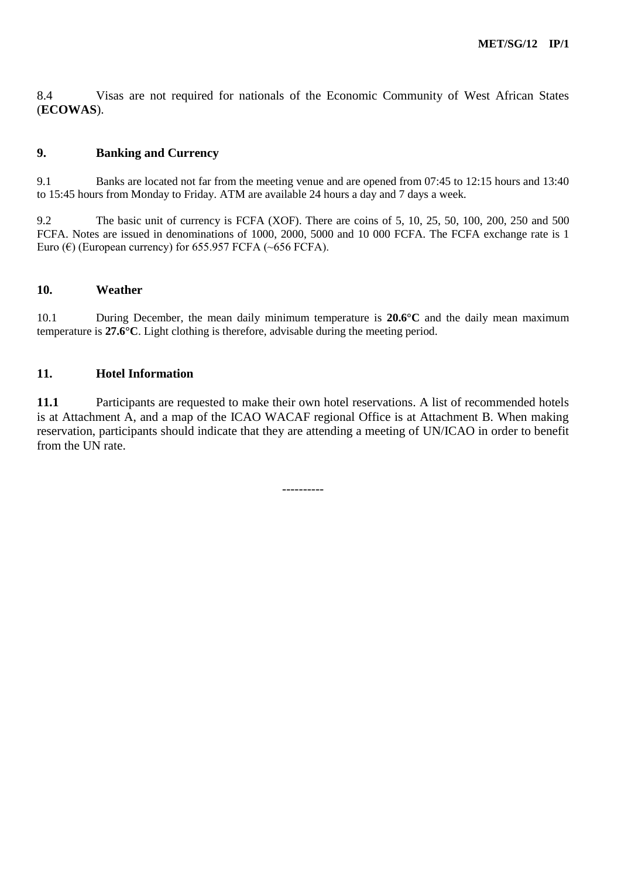8.4 Visas are not required for nationals of the Economic Community of West African States (**ECOWAS**).

# **9. Banking and Currency**

9.1 Banks are located not far from the meeting venue and are opened from 07:45 to 12:15 hours and 13:40 to 15:45 hours from Monday to Friday. ATM are available 24 hours a day and 7 days a week.

9.2 The basic unit of currency is FCFA (XOF). There are coins of 5, 10, 25, 50, 100, 200, 250 and 500 FCFA. Notes are issued in denominations of 1000, 2000, 5000 and 10 000 FCFA. The FCFA exchange rate is 1 Euro ( $\epsilon$ ) (European currency) for 655.957 FCFA (~656 FCFA).

#### **10. Weather**

10.1 During December, the mean daily minimum temperature is **20.6°C** and the daily mean maximum temperature is **27.6°C**. Light clothing is therefore, advisable during the meeting period.

# **11. Hotel Information**

**11.1** Participants are requested to make their own hotel reservations. A list of recommended hotels is at Attachment A, and a map of the ICAO WACAF regional Office is at Attachment B. When making reservation, participants should indicate that they are attending a meeting of UN/ICAO in order to benefit from the UN rate.

----------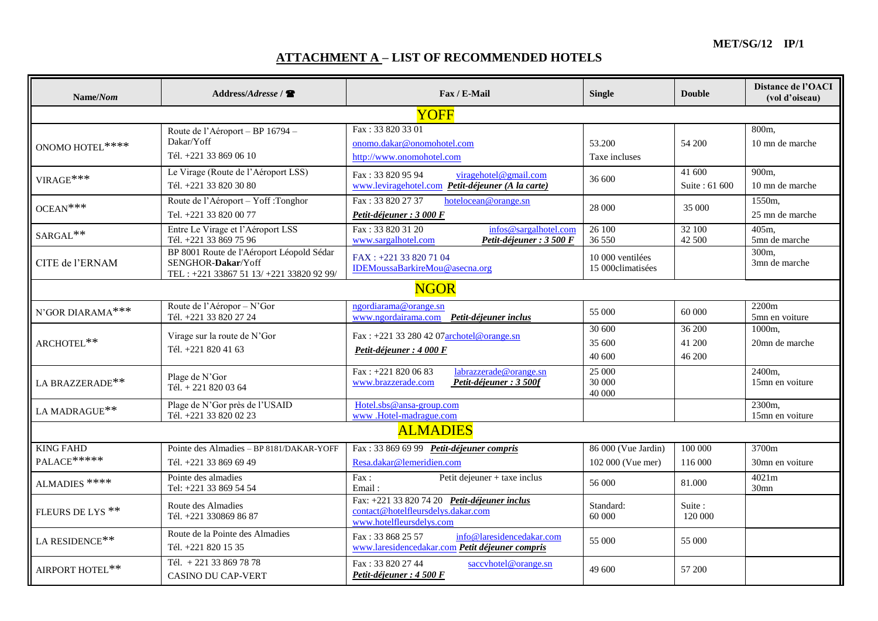**MET/SG/12 IP/1**

# **ATTACHMENT A – LIST OF RECOMMENDED HOTELS**

| Name/Nom                                       | Address/Address /                                                                                           | Fax / E-Mail                                                                                                   | <b>Single</b>                            | <b>Double</b>              | Distance de l'OACI<br>(vol d'oiseau) |  |
|------------------------------------------------|-------------------------------------------------------------------------------------------------------------|----------------------------------------------------------------------------------------------------------------|------------------------------------------|----------------------------|--------------------------------------|--|
|                                                |                                                                                                             | YOFF                                                                                                           |                                          |                            |                                      |  |
| ONOMO HOTEL****                                | Route de l'Aéroport – BP 16794 –<br>Dakar/Yoff<br>Tél. +221 33 869 06 10                                    | Fax: 33 820 33 01<br>onomo.dakar@onomohotel.com<br>http://www.onomohotel.com                                   | 53.200<br>Taxe incluses                  | 54 200                     | 800m.<br>10 mn de marche             |  |
| $\ensuremath{\text{VIRAGE}}\ ^{***}$           | Le Virage (Route de l'Aéroport LSS)<br>Tél. +221 33 820 30 80                                               | Fax: 33 820 95 94<br>viragehotel@gmail.com<br>www.leviragehotel.com Petit-déjeuner (A la carte)                | 36 600                                   | 41 600<br>Suite: 61 600    | 900m,<br>10 mn de marche             |  |
| $OCEAN***$                                     | Route de l'Aéroport - Yoff : Tonghor<br>Tel. +221 33 820 00 77                                              | Fax: 33 820 27 37<br>hotelocean@orange.sn<br>Petit-déjeuner : 3 000 F                                          | 28 000                                   | 35 000                     | 1550m,<br>25 mn de marche            |  |
| $\textsc{SARGAL}^{\textstyle{*}\textstyle{*}}$ | Entre Le Virage et l'Aéroport LSS<br>Tél. +221 33 869 75 96                                                 | Fax: 33 820 31 20<br>infos@sargalhotel.com<br>Petit-déjeuner : 3 500 F<br>www.sargalhotel.com                  | $\overline{26}100$<br>36 550             | 32100<br>42 500            | 405m,<br>5mn de marche               |  |
| CITE de l'ERNAM                                | BP 8001 Route de l'Aéroport Léopold Sédar<br>SENGHOR-Dakar/Yoff<br>TEL: +221 33867 51 13/ +221 33820 92 99/ | FAX: +221 33 820 71 04<br>IDEMoussaBarkireMou@asecna.org                                                       | 10 000 ventilées<br>15 000 climatisées   |                            | 300 <sub>m</sub><br>3mn de marche    |  |
|                                                |                                                                                                             | <b>NGOR</b>                                                                                                    |                                          |                            |                                      |  |
| N'GOR DIARAMA ***                              | Route de l'Aéropor - N'Gor<br>Tél. +221 33 820 27 24                                                        | ngordiarama@orange.sn<br>www.ngordairama.com Petit-déjeuner inclus                                             | 55 000                                   | 60 000                     | 2200m<br>5mn en voiture              |  |
| ARCHOTEL**                                     | Virage sur la route de N'Gor<br>Tél. +221 820 41 63                                                         | Fax: +221 33 280 42 07archotel@orange.sn<br>Petit-déjeuner : 4 000 F                                           | 30 600<br>35 600<br>40 600               | 36 200<br>41 200<br>46 200 | 1000m.<br>20mn de marche             |  |
| LA BRAZZERADE**                                | Plage de N'Gor<br>Tél. + 221 820 03 64                                                                      | Fax: +221 820 06 83<br>labrazzerade@orange.sn<br>Petit-déjeuner : 3 500f<br>www.brazzerade.com                 | 25 000<br>30 000<br>40 000               |                            | 2400m,<br>15mn en voiture            |  |
| ${\rm LA}$ MADRAGUE**                          | Plage de N'Gor près de l'USAID<br>Tél. +221 33 820 02 23                                                    | Hotel.sbs@ansa-group.com<br>www.Hotel-madrague.com                                                             |                                          |                            | 2300m,<br>15mn en voiture            |  |
| <b>ALMADIES</b>                                |                                                                                                             |                                                                                                                |                                          |                            |                                      |  |
| <b>KING FAHD</b><br>PALACE*****                | Pointe des Almadies - BP 8181/DAKAR-YOFF<br>Tél. +221 33 869 69 49                                          | Fax: 33 869 69 99 Petit-déjeuner compris<br>Resa.dakar@lemeridien.com                                          | 86 000 (Vue Jardin)<br>102 000 (Vue mer) | 100 000<br>116 000         | 3700m<br>30mn en voiture             |  |
| ALMADIES $\ast\ast\ast\ast$                    | Pointe des almadies<br>Tel: +221 33 869 54 54                                                               | Petit dejeuner + taxe inclus<br>$\text{Fax}:$<br>Email:                                                        | 56 000                                   | 81.000                     | 4021m<br>30 <sub>mn</sub>            |  |
| FLEURS DE LYS <sup>**</sup>                    | Route des Almadies<br>Tél. +221 330869 86 87                                                                | Fax: +221 33 820 74 20 Petit-déjeuner inclus<br>contact@hotelfleursdelys.dakar.com<br>www.hotelfleursdelys.com | Standard:<br>60 000                      | Suite:<br>120 000          |                                      |  |
| LA RESIDENCE**                                 | Route de la Pointe des Almadies<br>Tél. +221 820 15 35                                                      | Fax: 33 868 25 57<br>info@laresidencedakar.com<br>www.laresidencedakar.com Petit déjeuner compris              | 55 000                                   | 55 000                     |                                      |  |
| AIRPORT HOTEL**                                | Tél. + 221 33 869 78 78<br><b>CASINO DU CAP-VERT</b>                                                        | Fax: 33 820 27 44<br>saccyhotel@orange.sn<br>Petit-déjeuner : 4 500 F                                          | 49 600                                   | 57 200                     |                                      |  |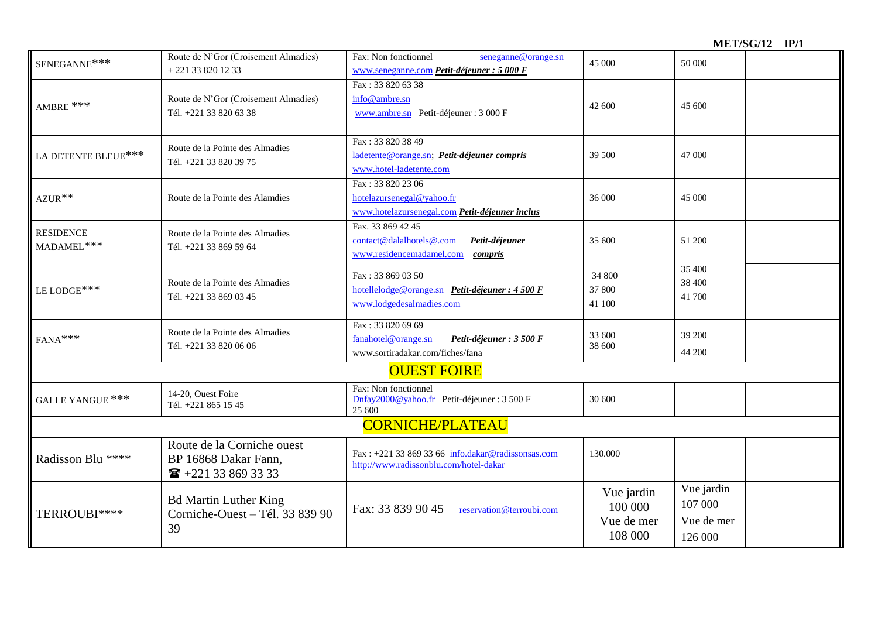**MET/SG/12 IP/1**

| SENEGANNE***                   | Route de N'Gor (Croisement Almadies)                                                 | Fax: Non fonctionnel<br>seneganne@orange.sn                                                              | 45 000                                         | 50 000                                         |  |  |
|--------------------------------|--------------------------------------------------------------------------------------|----------------------------------------------------------------------------------------------------------|------------------------------------------------|------------------------------------------------|--|--|
|                                | $+221338201233$                                                                      | www.seneganne.com Petit-déjeuner : 5 000 F                                                               |                                                |                                                |  |  |
| $\mbox{AMBRE}$ ***             | Route de N'Gor (Croisement Almadies)<br>Tél. +221 33 820 63 38                       | Fax: 33 820 63 38<br>info@ambre.sn<br>www.ambre.sn Petit-déjeuner : 3 000 F                              | 42 600                                         | 45 600                                         |  |  |
| LA DETENTE BLEUE***            | Route de la Pointe des Almadies<br>Tél. +221 33 820 39 75                            | Fax: 33 820 38 49<br>ladetente@orange.sn; Petit-déjeuner compris<br>www.hotel-ladetente.com              | 39 500                                         | 47 000                                         |  |  |
| $AZUR**$                       | Route de la Pointe des Alamdies                                                      | Fax: 33 820 23 06<br>hotelazursenegal@yahoo.fr<br>www.hotelazursenegal.com Petit-déjeuner inclus         | 36 000                                         | 45 000                                         |  |  |
| <b>RESIDENCE</b><br>MADAMEL*** | Route de la Pointe des Almadies<br>Tél. +221 33 869 59 64                            | Fax. 33 869 42 45<br>contact@dalalhotels@.com<br>Petit-déjeuner<br>www.residencemadamel.com<br>compris   | 35 600                                         | 51 200                                         |  |  |
| LE LODGE ***                   | Route de la Pointe des Almadies<br>Tél. +221 33 869 03 45                            | Fax: 33 869 03 50<br>hotellelodge@orange.sn Petit-déjeuner : 4 500 F<br>www.lodgedesalmadies.com         | 34 800<br>37 800<br>41 100                     | 35 400<br>38 400<br>41 700                     |  |  |
| $FANA***$                      | Route de la Pointe des Almadies<br>Tél. +221 33 820 06 06                            | Fax: 33 820 69 69<br>fanahotel@orange.sn<br>Petit-déjeuner : 3 500 F<br>www.sortiradakar.com/fiches/fana | 33 600<br>38 600                               | 39 200<br>44 200                               |  |  |
|                                |                                                                                      | <b>OUEST FOIRE</b>                                                                                       |                                                |                                                |  |  |
| GALLE YANGUE ***               | 14-20, Ouest Foire<br>Tél. +221 865 15 45                                            | Fax: Non fonctionnel<br>Dnfay2000@yahoo.fr Petit-déjeuner : 3 500 F<br>25 600                            | 30 600                                         |                                                |  |  |
| <b>CORNICHE/PLATEAU</b>        |                                                                                      |                                                                                                          |                                                |                                                |  |  |
| Radisson Blu ****              | Route de la Corniche ouest<br>BP 16868 Dakar Fann,<br>$\mathbf{R}$ +221 33 869 33 33 | Fax: +221 33 869 33 66 info.dakar@radissonsas.com<br>http://www.radissonblu.com/hotel-dakar              | 130.000                                        |                                                |  |  |
| TERROUBI****                   | <b>Bd Martin Luther King</b><br>Corniche-Ouest - Tél. 33 839 90<br>39                | Fax: 33 839 90 45<br>reservation@terroubi.com                                                            | Vue jardin<br>100 000<br>Vue de mer<br>108 000 | Vue jardin<br>107 000<br>Vue de mer<br>126 000 |  |  |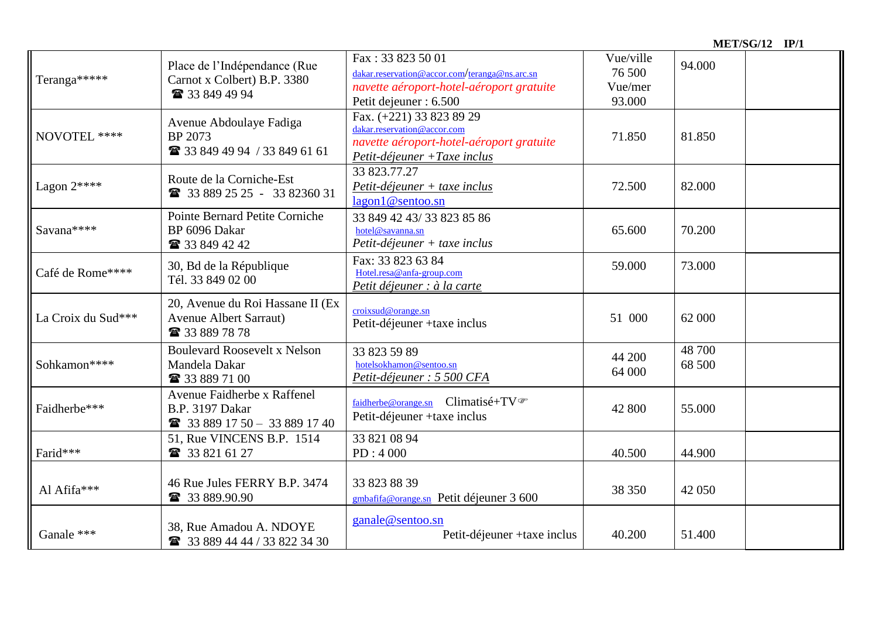|                    |                                                                                                                                                                                                                           |                                                                                                                                     | <b>MET/SG/12 IP/1</b>                    |                  |  |
|--------------------|---------------------------------------------------------------------------------------------------------------------------------------------------------------------------------------------------------------------------|-------------------------------------------------------------------------------------------------------------------------------------|------------------------------------------|------------------|--|
| Teranga*****       | Fax: 33 823 50 01<br>Place de l'Indépendance (Rue<br>dakar.reservation@accor.com/teranga@ns.arc.sn<br>Carnot x Colbert) B.P. 3380<br>navette aéroport-hotel-aéroport gratuite<br>☎ 33 849 49 94<br>Petit dejeuner : 6.500 |                                                                                                                                     | Vue/ville<br>76 500<br>Vue/mer<br>93.000 | 94.000           |  |
| NOVOTEL ****       | Avenue Abdoulaye Fadiga<br>BP 2073<br>■ 33 849 49 94 / 33 849 61 61                                                                                                                                                       | Fax. (+221) 33 823 89 29<br>dakar.reservation@accor.com<br>navette aéroport-hotel-aéroport gratuite<br>Petit-déjeuner + Taxe inclus | 71.850                                   | 81.850           |  |
| Lagon $2****$      | Route de la Corniche-Est<br>2 33 889 25 25 - 33 82360 31                                                                                                                                                                  | 33 823.77.27<br>$Petit$ -déjeuner + taxe inclus<br>lagon1@sentoo.sn                                                                 | 72.500                                   | 82.000           |  |
| Savana****         | Pointe Bernard Petite Corniche<br>BP 6096 Dakar<br><b>1</b> 33 849 42 42                                                                                                                                                  | 33 849 42 43/33 823 85 86<br>hotel@savanna.sn<br>$Petit$ -déjeuner + taxe inclus                                                    | 65.600                                   | 70.200           |  |
| Café de Rome****   | 30, Bd de la République<br>Tél. 33 849 02 00                                                                                                                                                                              | Fax: 33 823 63 84<br>Hotel.resa@anfa-group.com<br>Petit déjeuner : à la carte                                                       | 59.000                                   | 73.000           |  |
| La Croix du Sud*** | 20, Avenue du Roi Hassane II (Ex<br><b>Avenue Albert Sarraut)</b><br>■ 33 889 78 78                                                                                                                                       | croixsud@orange.sn<br>Petit-déjeuner +taxe inclus                                                                                   | 51 000                                   | 62 000           |  |
| Sohkamon****       | <b>Boulevard Roosevelt x Nelson</b><br>Mandela Dakar<br>■ 33 889 71 00                                                                                                                                                    | 33 823 59 89<br>hotelsokhamon@sentoo.sn<br>Petit-déjeuner : 5 500 CFA                                                               | 44 200<br>64 000                         | 48 700<br>68 500 |  |
| Faidherbe***       | Avenue Faidherbe x Raffenel<br><b>B.P.</b> 3197 Dakar<br>2 33 889 17 50 - 33 889 17 40                                                                                                                                    | faidherbe@orange.sn Climatisé+TV <sup></sup><br>Petit-déjeuner +taxe inclus                                                         | 42 800                                   | 55.000           |  |
| Farid***           | 51, Rue VINCENS B.P. 1514<br><b>■ 33 821 61 27</b>                                                                                                                                                                        | 33 821 08 94<br>PD: 4000                                                                                                            | 40.500                                   | 44.900           |  |
| Al Afifa***        | 46 Rue Jules FERRY B.P. 3474<br>☎ 33 889.90.90                                                                                                                                                                            | 33 823 88 39<br>gmbafifa@orange.sn Petit déjeuner 3 600                                                                             | 38 350                                   | 42 050           |  |
| Ganale ***         | 38, Rue Amadou A. NDOYE<br>2 33 889 44 44 / 33 822 34 30                                                                                                                                                                  | ganale@sentoo.sn<br>Petit-déjeuner + taxe inclus                                                                                    | 40.200                                   | 51.400           |  |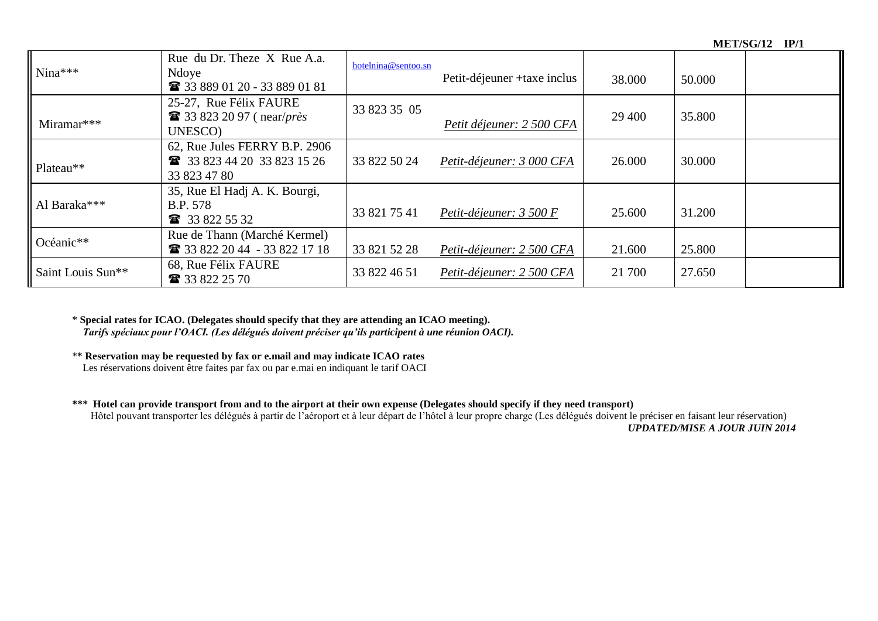| $Nina***$         | Rue du Dr. Theze X Rue A.a.<br>Ndoye<br>2 33 889 01 20 - 33 889 01 81      | hotelnina@sentoo.sn | Petit-déjeuner + taxe inclus | 38.000 | 50.000 |  |
|-------------------|----------------------------------------------------------------------------|---------------------|------------------------------|--------|--------|--|
| Miramar***        | 25-27, Rue Félix FAURE<br>$\bullet$ 33 823 20 97 (near/près<br>UNESCO)     | 33 823 35 05        | Petit déjeuner: 2 500 CFA    | 29 400 | 35.800 |  |
| Plateau**         | 62, Rue Jules FERRY B.P. 2906<br>33 823 44 20 33 823 15 26<br>33 823 47 80 | 33 822 50 24        | Petit-déjeuner: 3 000 CFA    | 26.000 | 30.000 |  |
| Al Baraka***      | 35, Rue El Hadj A. K. Bourgi,<br><b>B.P.</b> 578<br><b>1</b> 33 822 55 32  | 33 821 75 41        | Petit-déjeuner: $3,500$ F    | 25.600 | 31.200 |  |
| Océanic**         | Rue de Thann (Marché Kermel)<br>26 33 822 20 44 - 33 822 17 18             | 33 821 52 28        | Petit-déjeuner: 2 500 CFA    | 21.600 | 25.800 |  |
| Saint Louis Sun** | 68, Rue Félix FAURE<br><b>1</b> 33 822 25 70                               | 33 822 46 51        | Petit-déjeuner: 2 500 CFA    | 21 700 | 27.650 |  |

\* **Special rates for ICAO. (Delegates should specify that they are attending an ICAO meeting).** *Tarifs spéciaux pour l'OACI. (Les délégués doivent préciser qu'ils participent à une réunion OACI).*

\***\* Reservation may be requested by fax or e.mail and may indicate ICAO rates**

**Les réservations doivent être faites par fax ou par e.mai en indiquant le tarif OACI** 

#### **\*\*\* Hotel can provide transport from and to the airport at their own expense (Delegates should specify if they need transport)**

Hôtel pouvant transporter les délégués à partir de l'aéroport et à leur départ de l'hôtel à leur propre charge (Les délégués doivent le préciser en faisant leur réservation) *UPDATED/MISE A JOUR JUIN 2014*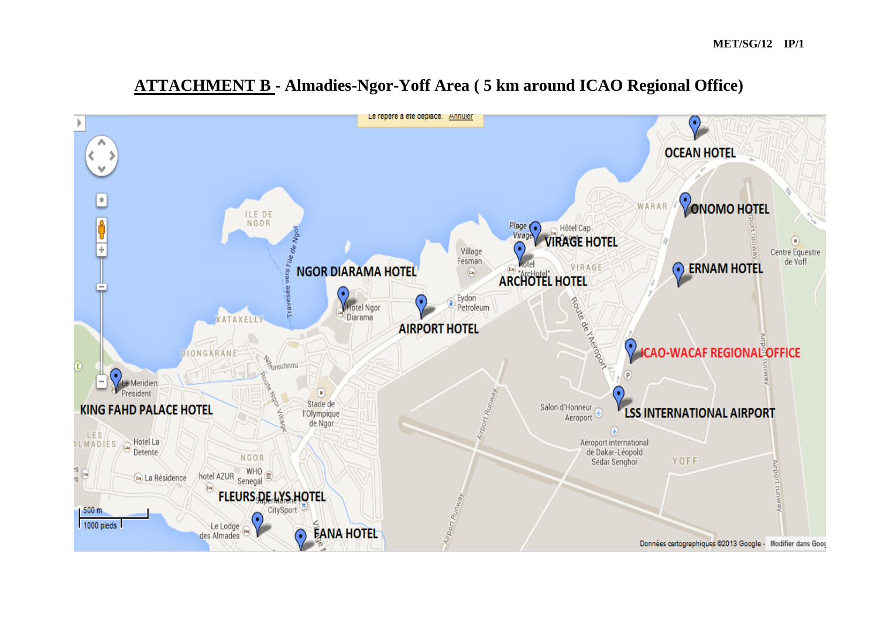

# **ATTACHMENT B - Almadies-Ngor-Yoff Area ( 5 km around ICAO Regional Office)**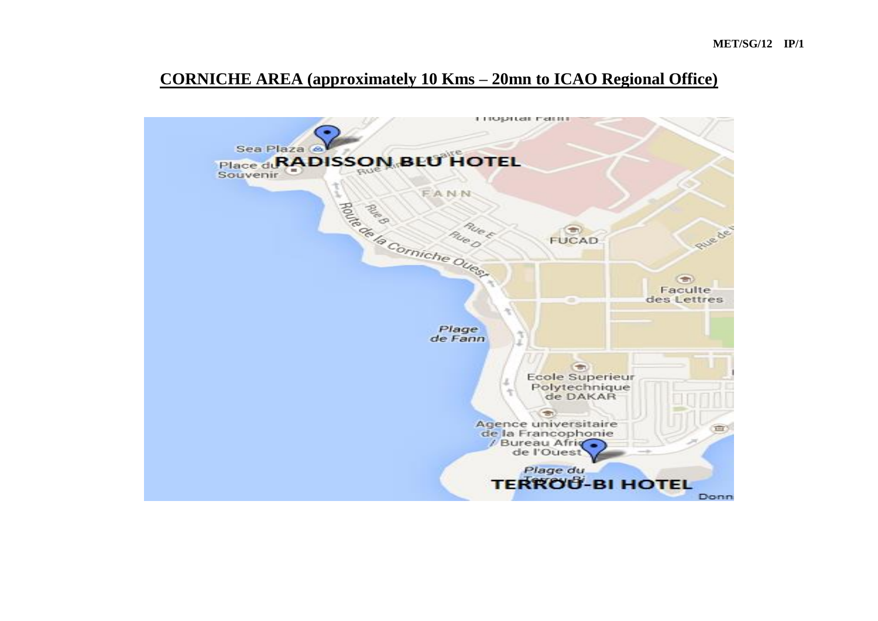# **CORNICHE AREA (approximately 10 Kms – 20mn to ICAO Regional Office)**